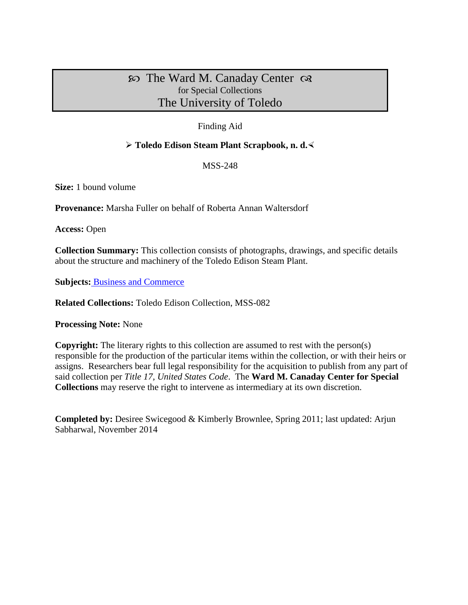# $\infty$  The Ward M. Canaday Center  $\infty$ for Special Collections The University of Toledo

## Finding Aid

### **Toledo Edison Steam Plant Scrapbook, n. d.**

MSS-248

**Size:** 1 bound volume

**Provenance:** Marsha Fuller on behalf of Roberta Annan Waltersdorf

**Access:** Open

**Collection Summary:** This collection consists of photographs, drawings, and specific details about the structure and machinery of the Toledo Edison Steam Plant.

**Subjects:** [Business and Commerce](http://www.utoledo.edu/library/canaday/guidepages/business.html)

**Related Collections:** Toledo Edison Collection, MSS-082

**Processing Note:** None

**Copyright:** The literary rights to this collection are assumed to rest with the person(s) responsible for the production of the particular items within the collection, or with their heirs or assigns. Researchers bear full legal responsibility for the acquisition to publish from any part of said collection per *Title 17, United States Code*. The **Ward M. Canaday Center for Special Collections** may reserve the right to intervene as intermediary at its own discretion.

**Completed by:** Desiree Swicegood & Kimberly Brownlee, Spring 2011; last updated: Arjun Sabharwal, November 2014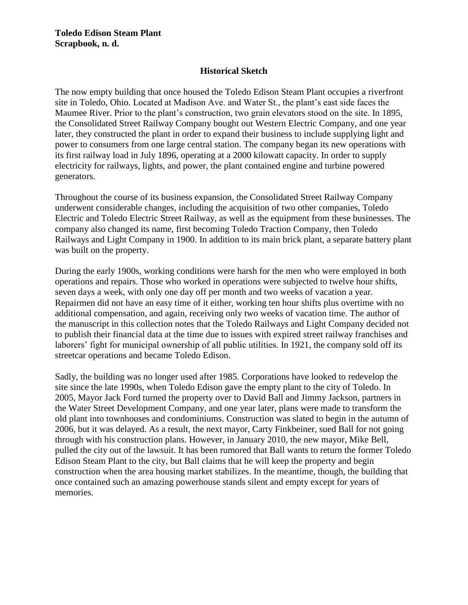## **Historical Sketch**

The now empty building that once housed the Toledo Edison Steam Plant occupies a riverfront site in Toledo, Ohio. Located at Madison Ave. and Water St., the plant's east side faces the Maumee River. Prior to the plant's construction, two grain elevators stood on the site. In 1895, the Consolidated Street Railway Company bought out Western Electric Company, and one year later, they constructed the plant in order to expand their business to include supplying light and power to consumers from one large central station. The company began its new operations with its first railway load in July 1896, operating at a 2000 kilowatt capacity. In order to supply electricity for railways, lights, and power, the plant contained engine and turbine powered generators.

Throughout the course of its business expansion, the Consolidated Street Railway Company underwent considerable changes, including the acquisition of two other companies, Toledo Electric and Toledo Electric Street Railway, as well as the equipment from these businesses. The company also changed its name, first becoming Toledo Traction Company, then Toledo Railways and Light Company in 1900. In addition to its main brick plant, a separate battery plant was built on the property.

During the early 1900s, working conditions were harsh for the men who were employed in both operations and repairs. Those who worked in operations were subjected to twelve hour shifts, seven days a week, with only one day off per month and two weeks of vacation a year. Repairmen did not have an easy time of it either, working ten hour shifts plus overtime with no additional compensation, and again, receiving only two weeks of vacation time. The author of the manuscript in this collection notes that the Toledo Railways and Light Company decided not to publish their financial data at the time due to issues with expired street railway franchises and laborers' fight for municipal ownership of all public utilities. In 1921, the company sold off its streetcar operations and became Toledo Edison.

Sadly, the building was no longer used after 1985. Corporations have looked to redevelop the site since the late 1990s, when Toledo Edison gave the empty plant to the city of Toledo. In 2005, Mayor Jack Ford turned the property over to David Ball and Jimmy Jackson, partners in the Water Street Development Company, and one year later, plans were made to transform the old plant into townhouses and condominiums. Construction was slated to begin in the autumn of 2006, but it was delayed. As a result, the next mayor, Carty Finkbeiner, sued Ball for not going through with his construction plans. However, in January 2010, the new mayor, Mike Bell, pulled the city out of the lawsuit. It has been rumored that Ball wants to return the former Toledo Edison Steam Plant to the city, but Ball claims that he will keep the property and begin construction when the area housing market stabilizes. In the meantime, though, the building that once contained such an amazing powerhouse stands silent and empty except for years of memories.